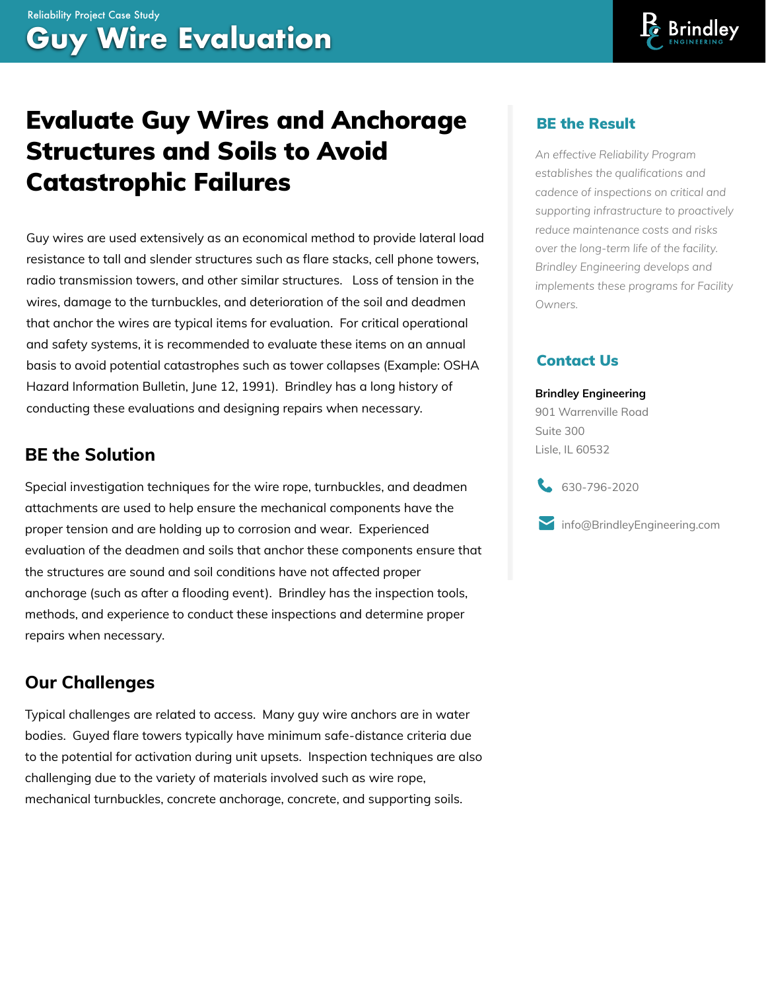# Evaluate Guy Wires and Anchorage Structures and Soils to Avoid Catastrophic Failures

Guy wires are used extensively as an economical method to provide lateral load resistance to tall and slender structures such as flare stacks, cell phone towers, radio transmission towers, and other similar structures. Loss of tension in the wires, damage to the turnbuckles, and deterioration of the soil and deadmen that anchor the wires are typical items for evaluation. For critical operational and safety systems, it is recommended to evaluate these items on an annual basis to avoid potential catastrophes such as tower collapses (Example: OSHA Hazard Information Bulletin, June 12, 1991). Brindley has a long history of conducting these evaluations and designing repairs when necessary.

### **BE the Solution**

Special investigation techniques for the wire rope, turnbuckles, and deadmen attachments are used to help ensure the mechanical components have the proper tension and are holding up to corrosion and wear. Experienced evaluation of the deadmen and soils that anchor these components ensure that the structures are sound and soil conditions have not affected proper anchorage (such as after a flooding event). Brindley has the inspection tools, methods, and experience to conduct these inspections and determine proper repairs when necessary.

### **Our Challenges**

Typical challenges are related to access. Many guy wire anchors are in water bodies. Guyed flare towers typically have minimum safe-distance criteria due to the potential for activation during unit upsets. Inspection techniques are also challenging due to the variety of materials involved such as wire rope, mechanical turnbuckles, concrete anchorage, concrete, and supporting soils.

#### BE the Result

*An effective Reliability Program establishes the qualifications and cadence of inspections on critical and supporting infrastructure to proactively reduce maintenance costs and risks over the long-term life of the facility. Brindley Engineering develops and implements these programs for Facility Owners.*

#### Contact Us

#### **Brindley Engineering**

901 Warrenville Road Suite 300 Lisle, IL 60532

630-796-2020

info@BrindleyEngineering.com